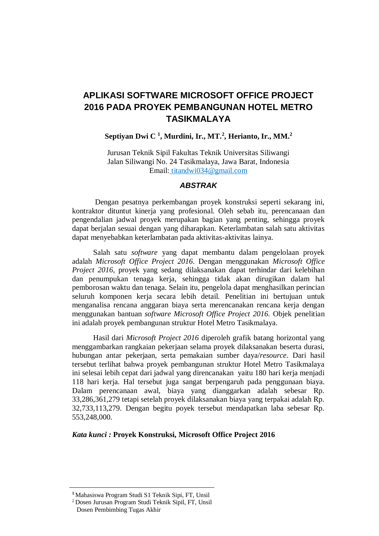# **APLIKASI SOFTWARE MICROSOFT OFFICE PROJECT 2016 PADA PROYEK PEMBANGUNAN HOTEL METRO TASIKMALAYA**

## **Septiyan Dwi C <sup>1</sup> , Murdini, Ir., MT.<sup>2</sup> , Herianto, Ir., MM.<sup>2</sup>**

Jurusan Teknik Sipil Fakultas Teknik Universitas Siliwangi Jalan Siliwangi No. 24 Tasikmalaya, Jawa Barat, Indonesia Email: titandwi034@gmail.com

# *ABSTRAK*

Dengan pesatnya perkembangan proyek konstruksi seperti sekarang ini, kontraktor dituntut kinerja yang profesional. Oleh sebab itu, perencanaan dan pengendalian jadwal proyek merupakan bagian yang penting, sehingga proyek dapat berjalan sesuai dengan yang diharapkan. Keterlambatan salah satu aktivitas dapat menyebabkan keterlambatan pada aktivitas-aktivitas lainya.

Salah satu *software* yang dapat membantu dalam pengelolaan proyek adalah *Microsoft Office Project 2016*. Dengan menggunakan *Microsoft Office Project 2016*, proyek yang sedang dilaksanakan dapat terhindar dari kelebihan dan penumpukan tenaga kerja, sehingga tidak akan dirugikan dalam hal pemborosan waktu dan tenaga. Selain itu, pengelola dapat menghasilkan perincian seluruh komponen kerja secara lebih detail. Penelitian ini bertujuan untuk menganalisa rencana anggaran biaya serta merencanakan rencana kerja dengan menggunakan bantuan *software Microsoft Office Project 2016.* Objek penelitian ini adalah proyek pembangunan struktur Hotel Metro Tasikmalaya.

Hasil dari *Microsoft Project 2016* diperoleh grafik batang horizontal yang menggambarkan rangkaian pekerjaan selama proyek dilaksanakan beserta durasi, hubungan antar pekerjaan, serta pemakaian sumber daya/*resource*. Dari hasil tersebut terlihat bahwa proyek pembangunan struktur Hotel Metro Tasikmalaya ini selesai lebih cepat dari jadwal yang direncanakan yaitu 180 hari kerja menjadi 118 hari kerja. Hal tersebut juga sangat berpengaruh pada penggunaan biaya. Dalam perencanaan awal, biaya yang dianggarkan adalah sebesar Rp. 33,286,361,279 tetapi setelah proyek dilaksanakan biaya yang terpakai adalah Rp. 32,733,113,279. Dengan begitu poyek tersebut mendapatkan laba sebesar Rp. 553,248,000.

#### *Kata kunci :* **Proyek Konstruksi, Microsoft Office Project 2016**

**<sup>1</sup>** Mahasiswa Program Studi S1 Teknik Sipi, FT, Unsil

<sup>2</sup> Dosen Jurusan Program Studi Teknik Sipil, FT, Unsil

Dosen Pembimbing Tugas Akhir